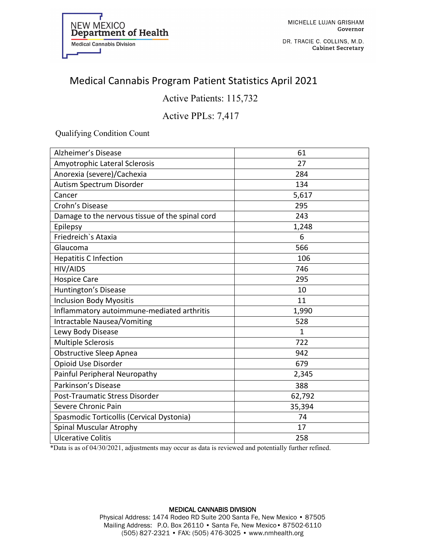

MICHELLE LUJAN GRISHAM Governor

DR. TRACIE C. COLLINS, M.D. **Cabinet Secretary** 

# Medical Cannabis Program Patient Statistics April 2021

Active Patients: 115,732

### Active PPLs: 7,417

Qualifying Condition Count

| Alzheimer's Disease                             | 61           |
|-------------------------------------------------|--------------|
| Amyotrophic Lateral Sclerosis                   | 27           |
| Anorexia (severe)/Cachexia                      | 284          |
| Autism Spectrum Disorder                        | 134          |
| Cancer                                          | 5,617        |
| Crohn's Disease                                 | 295          |
| Damage to the nervous tissue of the spinal cord | 243          |
| Epilepsy                                        | 1,248        |
| Friedreich's Ataxia                             | 6            |
| Glaucoma                                        | 566          |
| <b>Hepatitis C Infection</b>                    | 106          |
| HIV/AIDS                                        | 746          |
| <b>Hospice Care</b>                             | 295          |
| Huntington's Disease                            | 10           |
| <b>Inclusion Body Myositis</b>                  | 11           |
| Inflammatory autoimmune-mediated arthritis      | 1,990        |
| Intractable Nausea/Vomiting                     | 528          |
| Lewy Body Disease                               | $\mathbf{1}$ |
| <b>Multiple Sclerosis</b>                       | 722          |
| <b>Obstructive Sleep Apnea</b>                  | 942          |
| Opioid Use Disorder                             | 679          |
| Painful Peripheral Neuropathy                   | 2,345        |
| Parkinson's Disease                             | 388          |
| Post-Traumatic Stress Disorder                  | 62,792       |
| Severe Chronic Pain                             | 35,394       |
| Spasmodic Torticollis (Cervical Dystonia)       | 74           |
| Spinal Muscular Atrophy                         | 17           |
| <b>Ulcerative Colitis</b>                       | 258          |

\*Data is as of 04/30/2021, adjustments may occur as data is reviewed and potentially further refined.

#### MEDICAL CANNABIS DIVISION Physical Address: 1474 Rodeo RD Suite 200 Santa Fe, New Mexico • 87505 Mailing Address: P.O. Box 26110 • Santa Fe, New Mexico• 87502-6110 (505) 827-2321 • FAX: (505) 476-3025 • www.nmhealth.org